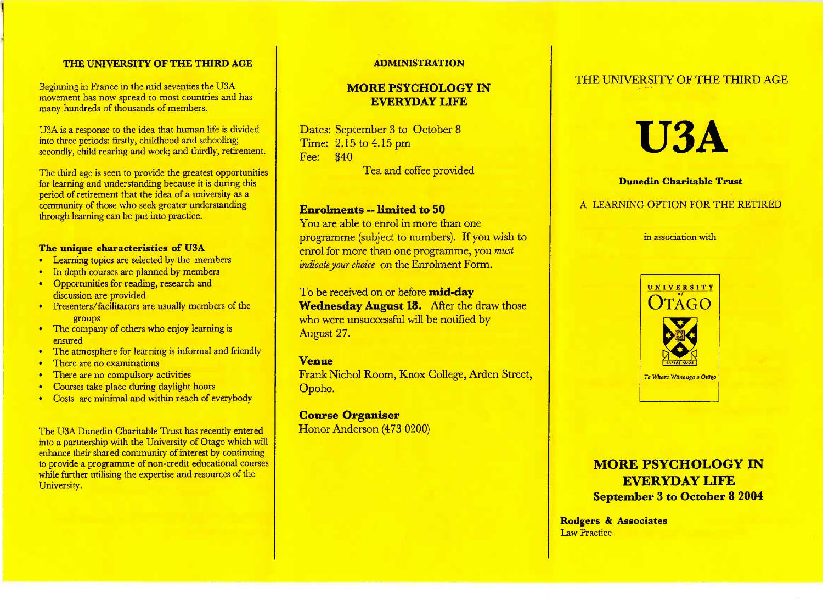#### **THE UNIVERSITY OF THE THIRD AGE**

Beginning in France in the mid seventies the USA movement has now spread to most countries and hasmany hundreds of thousands of members.

USA is a response to the idea that human life is divided into three periods: firstly, childhood and schooling;secondly, child rearing and work; and thirdly, retirement.

The third age is seen to provide the greatest opportunities for learning and understanding because it is during thisperiod of retirement that the idea of a university as a community of those who seek greater understandingthrough learning can be put into practice.

#### **The unique characteristics of USA**

- Learning topics are selected by the members
- In depth courses are planned by members
- Opportunities for reading, research anddiscussion are provided
- • Presenters/facilitators are usually members of thegroups
- The company of others who enjoy learning isensured
- The atmosphere for learning is informal and friendly
- There are no examinations
- There are no compulsory activities
- Courses take place during daylight hours
- Costs are minimal and within reach of everybody

The USA Dunedin Charitable Trust has recently entered into a partnership with the University of Otago which will enhance their shared community of interest by continuing to provide a programme of non-credit educational courseswhile further utilising the expertise and resources of theUniversity.

#### **ADMINISTRATION**

# **MORE PSYCHOLOGY** IN**EVERYDAY LIFE**

Dates: September 3 to October 8 Time: 2.15 to 4.15 pm Fee: \$40Tea and coffee provided

#### **Enrolments — limited to 50**

 You are able to enrol in more than one programme (subject to numbers). If you wish to enrol for more than one programme, you *mustindicate your choice* on the Enrolment Form.

To be received on or before **mid-day Wednesday August 18.** After the draw those who were unsuccessful will be notified by-August 27.

#### **Venue**

 Frank Nichol Room, Knox College, Arden Street,Opoho.

# **Course Organiser**

Honor Anderson (473 0200)



# **U3A**

#### **Dunedin Charitable Trust**

## A LEARNING OPTION FOR THE RETIRED

in association with



# **MORE PSYCHOLOGY IN EVERYDAY LIFESeptember 3 to October 8 2004**

**Rodgers & Associates**<u>Law Fractice</u>